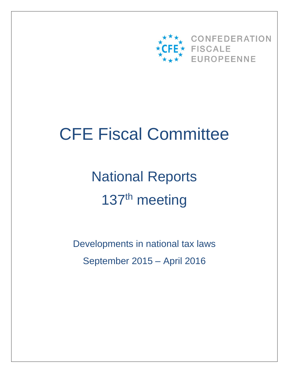

# CFE Fiscal Committee

National Reports 137<sup>th</sup> meeting

Developments in national tax laws September 2015 – April 2016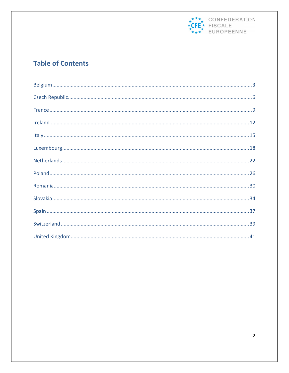

# **Table of Contents**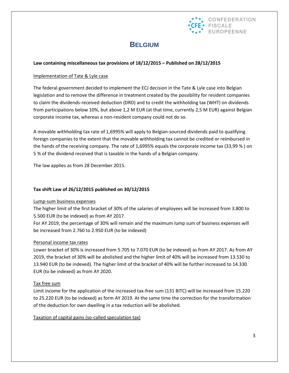

# **BELGIUM**

#### **Law containing miscellaneous tax provisions of 18/12/2015 – Published on 28/12/2015**

#### Implementation of Tate & Lyle case

The federal government decided to implement the ECJ decision in the Tate & Lyle case into Belgian legislation and to remove the difference in treatment created by the possibility for resident companies to claim the dividends-received deduction (DRD) and to credit the withholding tax (WHT) on dividends from participations below 10%, but above 1,2 M EUR (at that time, currently 2,5 M EUR) against Belgian corporate income tax, whereas a non-resident company could not do so.

A movable withholding tax rate of 1,6995% will apply to Belgian-sourced dividends paid to qualifying foreign companies to the extent that the movable withholding tax cannot be credited or reimbursed in the hands of the receiving company. The rate of 1,6995% equals the corporate income tax (33,99 % ) on 5 % of the dividend received that is taxable in the hands of a Belgian company.

The law applies as from 28 December 2015.

#### **Tax shift Law of 26/12/2015 published on 30/12/2015**

#### Lump-sum business expenses

The higher limit of the first bracket of 30% of the salaries of employees will be increased from 3.800 to 5.500 EUR (to be indexed) as from AY 2017.

For AY 2019, the percentage of 30% will remain and the maximum lump sum of business expenses will be increased from 2.760 to 2.950 EUR (to be indexed)

#### Personal income tax rates

Lower bracket of 30% is increased from 5.705 to 7.070 EUR (to be indexed) as from AY 2017. As from AY 2019, the bracket of 30% will be abolished and the higher limit of 40% will be increased from 13.530 to 13.940 EUR (to be indexed). The higher limit of the bracket of 40% will be further increased to 14.330 EUR (to be indexed) as from AY 2020.

#### Tax free sum

Limit income for the application of the increased tax-free sum (131 BITC) will be increased from 15.220 to 25.220 EUR (to be indexed) as form AY 2019. At the same time the correction for the transformation of the deduction for own dwelling in a tax reduction will be abolished.

Taxation of capital gains (so-called speculation tax)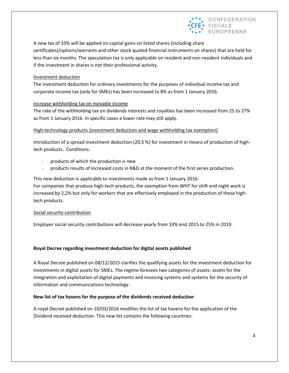

A new tax of 33% will be applied on capital gains on listed shares (including share certificates)/options/warrants and other stock quoted financial instruments on shares) that are held for less than six months. The speculation tax is only applicable on resident and non-resident individuals and if the investment in shares is not their professional activity.

#### Investment deduction

The investment deduction for ordinary investments for the purposes of individual income tax and corporate income tax (only for SMEs) has been increased to 8% as from 1 January 2016.

#### Increase withholding tax on movable income

The rate of the withholding tax on dividends interests and royalties has been increased from 25 to 27% as from 1 January 2016. In specific cases a lower rate may still apply.

#### High-technology products (investment deduction and wage withholding tax exemption)

Introduction of a spread investment deduction (20,5 %) for investment in means of production of hightech products. Conditions:

- products of which the production is new
- products results of increased costs in R&D at the moment of the first series production.

This new deduction is applicable to investments made as from 1 January 2016. For companies that produce high-tech products, the exemption from WHT for shift and night work is increased by 2,2% but only for workers that are effectively employed in the production of these hightech products.

#### Social security contribution

Employer social security contributions will decrease yearly from 33% end 2015 to 25% in 2019.

#### **Royal Decree regarding investment deduction for digital assets published**

A Royal Decree published on 08/12/2015 clarifies the qualifying assets for the investment deduction for investments in digital assets for SMEs. The regime foresees two categories of assets: assets for the integration and exploitation of digital payments and invoicing systems and systems for the security of information and communications technology.

#### **New list of tax havens for the purpose of the dividends received deduction**

A royal Decree published on 10/03/2016 modifies the list of tax havens for the application of the Dividend received deduction. This new list contains the following countries: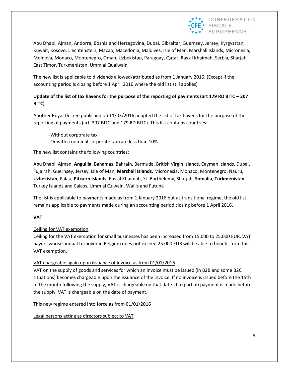

Abu Dhabi, Ajman, Andorra, Bosnia and Herzegovina, Dubai, Gibraltar, Guernsey, Jersey, Kyrgyzstan, Kuwait, Kosovo, Liechtenstein, Macao, Macedonia, Maldives, Isle of Man, Marshall Islands, Micronesia, Moldova, Monaco, Montenegro, Oman, Uzbekistan, Paraguay, Qatar, Ras al Khaimah, Serbia, Sharjah, East Timor, Turkmenistan, Umm al Quaiwain

The new list is applicable to dividends allowed/attributed as from 1 January 2016. (Except if the accounting period is closing before 1 April 2016 where the old list still applies)

### **Update of the list of tax havens for the purpose of the reporting of payments (art 179 RD BITC – 307 BITC)**

Another Royal Decree published on 11/03/2016 adapted the list of tax havens for the purpose of the reporting of payments (art. 307 BITC and 179 RD BITC). This list contains countries:

-Without corporate tax -Or with a nominal corporate tax rate less than 10%

The new list contains the following countries:

Abu Dhabi, Ajman, **Anguilla**, Bahamas, Bahrain, Bermuda, British Virgin Islands, Cayman Islands, Dubai, Fujairah, Guernsey, Jersey, Isle of Man, **Marshall Islands**, Micronesia, Monaco, Montenegro, Nauru, **Uzbekistan**, Palau, **Pitcairn Islands**, Ras al Khaimah, St. Barthelemy, Sharjah, **Somalia**, **Turkmenistan**, Turkey Islands and Caicos, Umm al Quwain, Wallis and Futuna

The list is applicable to payments made as from 1 January 2016 but as transitional regime, the old list remains applicable to payments made during an accounting period closing before 1 April 2016.

#### **VAT**

#### Ceiling for VAT exemption

Ceiling for the VAT exemption for small businesses has been increased from 15.000 to 25.000 EUR. VAT payers whose annual turnover in Belgium does not exceed 25.000 EUR will be able to benefit from this VAT exemption.

#### VAT chargeable again upon issuance of invoice as from 01/01/2016

VAT on the supply of goods and services for which an invoice must be issued (in B2B and some B2C situations) becomes chargeable upon the issuance of the invoice. If no invoice is issued before the 15th of the month following the supply, VAT is chargeable on that date. If a (partial) payment is made before the supply, VAT is chargeable on the date of payment.

This new regime entered into force as from 01/01/2016

Legal persons acting as directors subject to VAT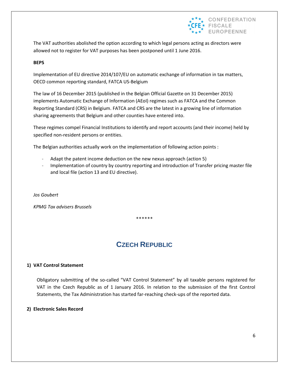

The VAT authorities abolished the option according to which legal persons acting as directors were allowed not to register for VAT purposes has been postponed until 1 June 2016.

#### **BEPS**

Implementation of EU directive 2014/107/EU on automatic exchange of information in tax matters, OECD common reporting standard, FATCA US-Belgium

The law of 16 December 2015 (published in the Belgian Official Gazette on 31 December 2015) implements Automatic Exchange of Information (AEoI) regimes such as FATCA and the Common Reporting Standard (CRS) in Belgium. FATCA and CRS are the latest in a growing line of information sharing agreements that Belgium and other counties have entered into.

These regimes compel Financial Institutions to identify and report accounts (and their income) held by specified non-resident persons or entities.

The Belgian authorities actually work on the implementation of following action points :

- Adapt the patent income deduction on the new nexus approach (action 5)
- Implementation of country by country reporting and introduction of Transfer pricing master file and local file (action 13 and EU directive).

*Jos Goubert* 

*KPMG Tax advisers Brussels* 

\*\*\*\*\*\*

# **CZECH REPUBLIC**

#### **1) VAT Control Statement**

Obligatory submitting of the so-called "VAT Control Statement" by all taxable persons registered for VAT in the Czech Republic as of 1 January 2016. In relation to the submission of the first Control Statements, the Tax Administration has started far-reaching check-ups of the reported data.

#### **2) Electronic Sales Record**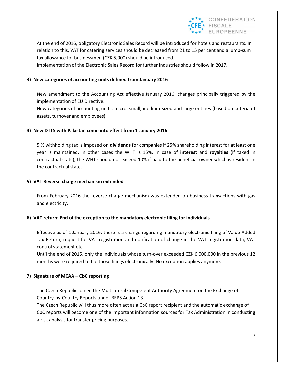

At the end of 2016, obligatory Electronic Sales Record will be introduced for hotels and restaurants. In relation to this, VAT for catering services should be decreased from 21 to 15 per cent and a lump-sum tax allowance for businessmen (CZK 5,000) should be introduced.

Implementation of the Electronic Sales Record for further industries should follow in 2017.

#### **3) New categories of accounting units defined from January 2016**

New amendment to the Accounting Act effective January 2016, changes principally triggered by the implementation of EU Directive.

New categories of accounting units: micro, small, medium-sized and large entities (based on criteria of assets, turnover and employees).

#### **4) New DTTS with Pakistan come into effect from 1 January 2016**

5 % withholding tax is imposed on **dividends** for companies if 25% shareholding interest for at least one year is maintained, in other cases the WHT is 15%. In case of **interest** and **royalties** (if taxed in contractual state), the WHT should not exceed 10% if paid to the beneficial owner which is resident in the contractual state.

#### **5) VAT Reverse charge mechanism extended**

From February 2016 the reverse charge mechanism was extended on business transactions with gas and electricity.

#### **6) VAT return: End of the exception to the mandatory electronic filing for individuals**

Effective as of 1 January 2016, there is a change regarding mandatory electronic filing of Value Added Tax Return, request for VAT registration and notification of change in the VAT registration data, VAT control statement etc.

Until the end of 2015, only the individuals whose turn-over exceeded CZK 6,000,000 in the previous 12 months were required to file those filings electronically. No exception applies anymore.

#### **7) Signature of MCAA – CbC reporting**

The Czech Republic joined the Multilateral Competent Authority Agreement on the Exchange of Country-by-Country Reports under BEPS Action 13.

The Czech Republic will thus more often act as a CbC report recipient and the automatic exchange of CbC reports will become one of the important information sources for Tax Administration in conducting a risk analysis for transfer pricing purposes.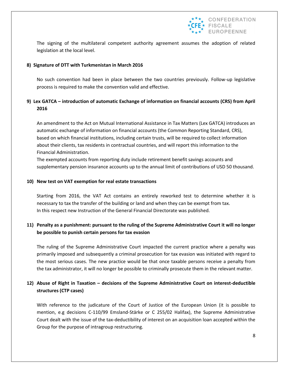

The signing of the multilateral competent authority agreement assumes the adoption of related legislation at the local level.

#### **8) Signature of DTT with Turkmenistan in March 2016**

No such convention had been in place between the two countries previously. Follow-up legislative process is required to make the convention valid and effective.

#### **9) Lex GATCA – introduction of automatic Exchange of information on financial accounts (CRS) from April 2016**

An amendment to the Act on Mutual International Assistance in Tax Matters (Lex GATCA) introduces an automatic exchange of information on financial accounts (the Common Reporting Standard, CRS), based on which financial institutions, including certain trusts, will be required to collect information about their clients, tax residents in contractual countries, and will report this information to the Financial Administration.

The exempted accounts from reporting duty include retirement benefit savings accounts and supplementary pension insurance accounts up to the annual limit of contributions of USD 50 thousand.

#### **10) New test on VAT exemption for real estate transactions**

Starting from 2016, the VAT Act contains an entirely reworked test to determine whether it is necessary to tax the transfer of the building or land and when they can be exempt from tax. In this respect new Instruction of the General Financial Directorate was published.

#### **11) Penalty as a punishment: pursuant to the ruling of the Supreme Administrative Court it will no longer be possible to punish certain persons for tax evasion**

The ruling of the Supreme Administrative Court impacted the current practice where a penalty was primarily imposed and subsequently a criminal prosecution for tax evasion was initiated with regard to the most serious cases. The new practice would be that once taxable persons receive a penalty from the tax administrator, it will no longer be possible to criminally prosecute them in the relevant matter.

#### **12) Abuse of Right in Taxation – decisions of the Supreme Administrative Court on interest-deductible structures (CTP cases)**

With reference to the judicature of the Court of Justice of the European Union (it is possible to mention, e.g decisions C-110/99 Emsland-Stärke or C 255/02 Halifax), the Supreme Administrative Court dealt with the issue of the tax-deductibility of interest on an acquisition loan accepted within the Group for the purpose of intragroup restructuring.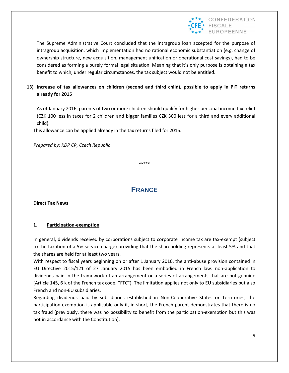

The Supreme Administrative Court concluded that the intragroup loan accepted for the purpose of intragroup acquisition, which implementation had no rational economic substantiation (e.g. change of ownership structure, new acquisition, management unification or operational cost savings), had to be considered as forming a purely formal legal situation. Meaning that it's only purpose is obtaining a tax benefit to which, under regular circumstances, the tax subject would not be entitled.

#### **13) Increase of tax allowances on children (second and third child), possible to apply in PIT returns already for 2015**

As of January 2016, parents of two or more children should qualify for higher personal income tax relief (CZK 100 less in taxes for 2 children and bigger families CZK 300 less for a third and every additional child).

This allowance can be applied already in the tax returns filed for 2015.

*Prepared by: KDP CR, Czech Republic*

\*\*\*\*\*

## **FRANCE**

**Direct Tax News**

#### **1. Participation-exemption**

In general, dividends received by corporations subject to corporate income tax are tax-exempt (subject to the taxation of a 5% service charge) providing that the shareholding represents at least 5% and that the shares are held for at least two years.

With respect to fiscal years beginning on or after 1 January 2016, the anti-abuse provision contained in EU Directive 2015/121 of 27 January 2015 has been embodied in French law: non-application to dividends paid in the framework of an arrangement or a series of arrangements that are not genuine (Article 145, 6 k of the French tax code, "FTC"). The limitation applies not only to EU subsidiaries but also French and non-EU subsidiaries.

Regarding dividends paid by subsidiaries established in Non-Cooperative States or Territories, the participation-exemption is applicable only if, in short, the French parent demonstrates that there is no tax fraud (previously, there was no possibility to benefit from the participation-exemption but this was not in accordance with the Constitution).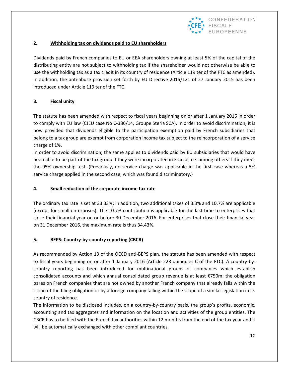

#### **2. Withholding tax on dividends paid to EU shareholders**

Dividends paid by French companies to EU or EEA shareholders owning at least 5% of the capital of the distributing entity are not subject to withholding tax if the shareholder would not otherwise be able to use the withholding tax as a tax credit in its country of residence (Article 119 ter of the FTC as amended). In addition, the anti-abuse provision set forth by EU Directive 2015/121 of 27 January 2015 has been introduced under Article 119 ter of the FTC.

#### **3. Fiscal unity**

The statute has been amended with respect to fiscal years beginning on or after 1 January 2016 in order to comply with EU law (CJEU case No C-386/14, Groupe Steria SCA). In order to avoid discrimination, it is now provided that dividends eligible to the participation exemption paid by French subsidiaries that belong to a tax group are exempt from corporation income tax subject to the reincorporation of a service charge of 1%.

In order to avoid discrimination, the same applies to dividends paid by EU subsidiaries that would have been able to be part of the tax group if they were incorporated in France, i.e. among others if they meet the 95% ownership test. (Previously, no service charge was applicable in the first case whereas a 5% service charge applied in the second case, which was found discriminatory.)

#### **4. Small reduction of the corporate income tax rate**

The ordinary tax rate is set at 33.33%; in addition, two additional taxes of 3.3% and 10.7% are applicable (except for small enterprises). The 10.7% contribution is applicable for the last time to enterprises that close their financial year on or before 30 December 2016. For enterprises that close their financial year on 31 December 2016, the maximum rate is thus 34.43%.

#### **5. BEPS: Country-by-country reporting (CBCR)**

As recommended by Action 13 of the OECD anti-BEPS plan, the statute has been amended with respect to fiscal years beginning on or after 1 January 2016 (Article 223 quinquies C of the FTC). A country-bycountry reporting has been introduced for multinational groups of companies which establish consolidated accounts and which annual consolidated group revenue is at least €750m; the obligation bares on French companies that are not owned by another French company that already falls within the scope of the filing obligation or by a foreign company falling within the scope of a similar legislation in its country of residence.

The information to be disclosed includes, on a country-by-country basis, the group's profits, economic, accounting and tax aggregates and information on the location and activities of the group entities. The CBCR has to be filed with the French tax authorities within 12 months from the end of the tax year and it will be automatically exchanged with other compliant countries.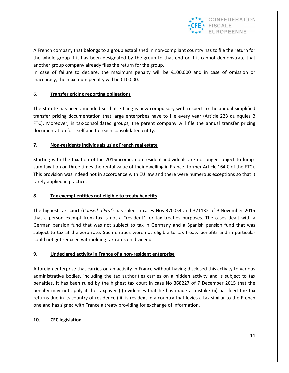

A French company that belongs to a group established in non-compliant country has to file the return for the whole group if it has been designated by the group to that end or if it cannot demonstrate that another group company already files the return for the group.

In case of failure to declare, the maximum penalty will be €100,000 and in case of omission or inaccuracy, the maximum penalty will be  $£10,000$ .

#### **6. Transfer pricing reporting obligations**

The statute has been amended so that e-filing is now compulsory with respect to the annual simplified transfer pricing documentation that large enterprises have to file every year (Article 223 quinquies B FTC). Moreover, in tax-consolidated groups, the parent company will file the annual transfer pricing documentation for itself and for each consolidated entity.

#### **7. Non-residents individuals using French real estate**

Starting with the taxation of the 2015income, non-resident individuals are no longer subject to lumpsum taxation on three times the rental value of their dwelling in France (former Article 164 C of the FTC). This provision was indeed not in accordance with EU law and there were numerous exceptions so that it rarely applied in practice.

#### **8. Tax exempt entities not eligible to treaty benefits**

The highest tax court (*Conseil d'Etat*) has ruled in cases Nos 370054 and 371132 of 9 November 2015 that a person exempt from tax is not a "resident" for tax treaties purposes. The cases dealt with a German pension fund that was not subject to tax in Germany and a Spanish pension fund that was subject to tax at the zero rate. Such entities were not eligible to tax treaty benefits and in particular could not get reduced withholding tax rates on dividends.

#### **9. Undeclared activity in France of a non-resident enterprise**

A foreign enterprise that carries on an activity in France without having disclosed this activity to various administrative bodies, including the tax authorities carries on a hidden activity and is subject to tax penalties. It has been ruled by the highest tax court in case No 368227 of 7 December 2015 that the penalty may not apply if the taxpayer (i) evidences that he has made a mistake (ii) has filed the tax returns due in its country of residence (iii) is resident in a country that levies a tax similar to the French one and has signed with France a treaty providing for exchange of information.

#### **10. CFC legislation**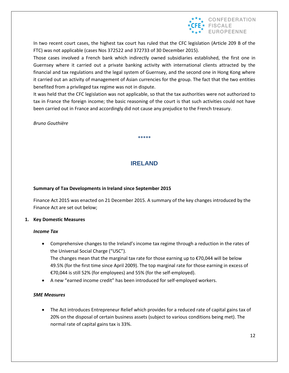

In two recent court cases, the highest tax court has ruled that the CFC legislation (Article 209 B of the FTC) was not applicable (cases Nos 372522 and 372733 of 30 December 2015).

Those cases involved a French bank which indirectly owned subsidiaries established, the first one in Guernsey where it carried out a private banking activity with international clients attracted by the financial and tax regulations and the legal system of Guernsey, and the second one in Hong Kong where it carried out an activity of management of Asian currencies for the group. The fact that the two entities benefited from a privileged tax regime was not in dispute.

It was held that the CFC legislation was not applicable, so that the tax authorities were not authorized to tax in France the foreign income; the basic reasoning of the court is that such activities could not have been carried out in France and accordingly did not cause any prejudice to the French treasury.

*Bruno Gouthière*

**IRELAND**

**\*\*\*\*\***

#### **Summary of Tax Developments in Ireland since September 2015**

Finance Act 2015 was enacted on 21 December 2015. A summary of the key changes introduced by the Finance Act are set out below;

#### **1. Key Domestic Measures**

#### *Income Tax*

- Comprehensive changes to the Ireland's income tax regime through a reduction in the rates of the Universal Social Charge ("USC"). The changes mean that the marginal tax rate for those earning up to  $\epsilon$ 70,044 will be below 49.5% (for the first time since April 2009). The top marginal rate for those earning in excess of €70,044 is still 52% (for employees) and 55% (for the self-employed).
- A new "earned income credit" has been introduced for self-employed workers.

#### *SME Measures*

 The Act introduces Entrepreneur Relief which provides for a reduced rate of capital gains tax of 20% on the disposal of certain business assets (subject to various conditions being met). The normal rate of capital gains tax is 33%.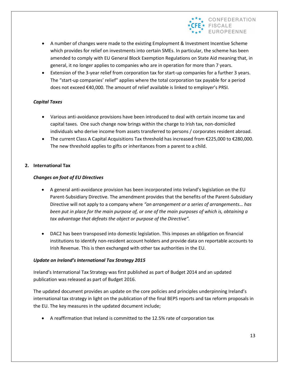

- A number of changes were made to the existing Employment & Investment Incentive Scheme which provides for relief on investments into certain SMEs. In particular, the scheme has been amended to comply with EU General Block Exemption Regulations on State Aid meaning that, in general, it no longer applies to companies who are in operation for more than 7 years.
- Extension of the 3-year relief from corporation tax for start-up companies for a further 3 years. The "start-up companies' relief" applies where the total corporation tax payable for a period does not exceed €40,000. The amount of relief available is linked to employer's PRSI.

#### *Capital Taxes*

- Various anti-avoidance provisions have been introduced to deal with certain income tax and capital taxes. One such change now brings within the charge to Irish tax, non-domiciled individuals who derive income from assets transferred to persons / corporates resident abroad.
- The current Class A Capital Acquisitions Tax threshold has increased from €225,000 to €280,000. The new threshold applies to gifts or inheritances from a parent to a child.

#### **2. International Tax**

#### *Changes on foot of EU Directives*

- A general anti-avoidance provision has been incorporated into Ireland's legislation on the EU Parent-Subsidiary Directive. The amendment provides that the benefits of the Parent-Subsidiary Directive will not apply to a company where *"an arrangement or a series of arrangements… has been put in place for the main purpose of, or one of the main purposes of which is, obtaining a tax advantage that defeats the object or purpose of the Directive".*
- DAC2 has been transposed into domestic legislation. This imposes an obligation on financial institutions to identify non-resident account holders and provide data on reportable accounts to Irish Revenue. This is then exchanged with other tax authorities in the EU.

#### *Update on Ireland's International Tax Strategy 2015*

Ireland's International Tax Strategy was first published as part of Budget 2014 and an updated publication was released as part of Budget 2016.

The updated document provides an update on the core policies and principles underpinning Ireland's international tax strategy in light on the publication of the final BEPS reports and tax reform proposals in the EU. The key measures in the updated document include;

A reaffirmation that Ireland is committed to the 12.5% rate of corporation tax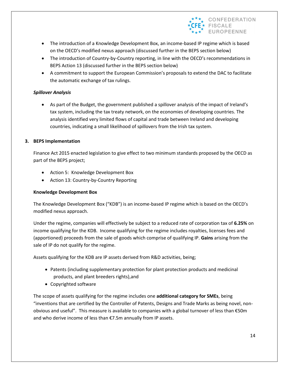

- The introduction of a Knowledge Development Box, an income-based IP regime which is based on the OECD's modified nexus approach (discussed further in the BEPS section below)
- The introduction of Country-by-Country reporting, in line with the OECD's recommendations in BEPS Action 13 (discussed further in the BEPS section below)
- A commitment to support the European Commission's proposals to extend the DAC to facilitate the automatic exchange of tax rulings.

#### *Spillover Analysis*

 As part of the Budget, the government published a spillover analysis of the impact of Ireland's tax system, including the tax treaty network, on the economies of developing countries. The analysis identified very limited flows of capital and trade between Ireland and developing countries, indicating a small likelihood of spillovers from the Irish tax system.

#### **3. BEPS Implementation**

Finance Act 2015 enacted legislation to give effect to two minimum standards proposed by the OECD as part of the BEPS project;

- Action 5: Knowledge Development Box
- Action 13: Country-by-Country Reporting

#### **Knowledge Development Box**

The Knowledge Development Box ("KDB") is an income-based IP regime which is based on the OECD's modified nexus approach.

Under the regime, companies will effectively be subject to a reduced rate of corporation tax of **6.25%** on income qualifying for the KDB. Income qualifying for the regime includes royalties, licenses fees and (apportioned) proceeds from the sale of goods which comprise of qualifying IP. **Gains** arising from the sale of IP do not qualify for the regime.

Assets qualifying for the KDB are IP assets derived from R&D activities, being;

- Patents (including supplementary protection for plant protection products and medicinal products, and plant breeders rights),and
- Copyrighted software

The scope of assets qualifying for the regime includes one **additional category for SMEs**, being "inventions that are certified by the Controller of Patents, Designs and Trade Marks as being novel, nonobvious and useful". This measure is available to companies with a global turnover of less than €50m and who derive income of less than €7.5m annually from IP assets.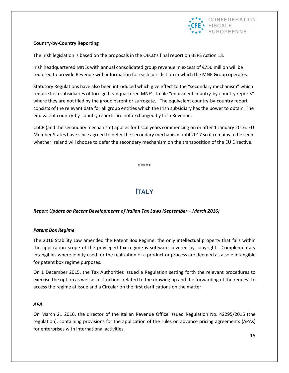

#### **Country-by-Country Reporting**

The Irish legislation is based on the proposals in the OECD's final report on BEPS Action 13.

Irish headquartered MNEs with annual consolidated group revenue in excess of €750 million will be required to provide Revenue with information for each jurisdiction in which the MNE Group operates.

Statutory Regulations have also been introduced which give effect to the "secondary mechanism" which require Irish subsidiaries of foreign headquartered MNE's to file "equivalent country-by-country reports" where they are not filed by the group parent or surrogate. The equivalent country-by-country report consists of the relevant data for all group entities which the Irish subsidiary has the power to obtain. The equivalent country-by-country reports are not exchanged by Irish Revenue.

CbCR (and the secondary mechanism) applies for fiscal years commencing on or after 1 January 2016. EU Member States have since agreed to defer the secondary mechanism until 2017 so it remains to be seen whether Ireland will choose to defer the secondary mechanism on the transposition of the EU Directive.

\*\*\*\*\*

## **ITALY**

#### *Report Update on Recent Developments of Italian Tax Laws (September – March 2016)*

#### *Patent Box Regime*

The 2016 Stability Law amended the Patent Box Regime: the only intellectual property that falls within the application scope of the privileged tax regime is software covered by copyright. Complementary intangibles where jointly used for the realization of a product or process are deemed as a sole intangible for patent box regime purposes.

On 1 December 2015, the Tax Authorities issued a Regulation setting forth the relevant procedures to exercise the option as well as instructions related to the drawing up and the forwarding of the request to access the regime at issue and a Circular on the first clarifications on the matter.

#### *APA*

On March 21 2016, the director of the Italian Revenue Office issued Regulation No. 42295/2016 (the regulation), containing provisions for the application of the rules on advance pricing agreements (APAs) for enterprises with international activities.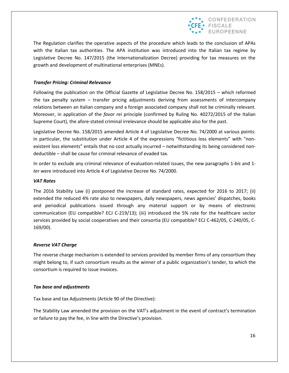

The Regulation clarifies the operative aspects of the procedure which leads to the conclusion of APAs with the Italian tax authorities. The APA institution was introduced into the Italian tax regime by Legislative Decree No. 147/2015 (the Internationalization Decree) providing for tax measures on the growth and development of multinational enterprises (MNEs).

#### *Transfer Pricing: Criminal Relevance*

Following the publication on the Official Gazette of Legislative Decree No. 158/2015 – which reformed the tax penalty system – transfer pricing adjustments deriving from assessments of intercompany relations between an Italian company and a foreign associated company shall not be criminally relevant. Moreover, in application of the *favor rei* principle (confirmed by Ruling No. 40272/2015 of the Italian Supreme Court), the afore-stated criminal irrelevance should be applicable also for the past.

Legislative Decree No. 158/2015 amended Article 4 of Legislative Decree No. 74/2000 at various points: in particular, the substitution under Article 4 of the expressions "fictitious loss elements" with "nonexistent loss elements" entails that no cost actually incurred – notwithstanding its being considered nondeductible – shall be cause for criminal relevance of evaded tax.

In order to exclude any criminal relevance of evaluation-related issues, the new paragraphs 1-*bis* and 1 *ter* were introduced into Article 4 of Legislative Decree No. 74/2000.

#### *VAT Rates*

The 2016 Stability Law (i) postponed the increase of standard rates, expected for 2016 to 2017; (ii) extended the reduced 4% rate also to newspapers, daily newspapers, news agencies' dispatches, books and periodical publications issued through any material support or by means of electronic communication (EU compatible? ECJ C-219/13); (iii) introduced the 5% rate for the healthcare sector services provided by social cooperatives and their consortia (EU compatible? ECJ C-462/05, C-240/05, C-169/00).

#### *Reverse VAT Charge*

The reverse charge mechanism is extended to services provided by member firms of any consortium they might belong to, if such consortium results as the winner of a public organization's tender, to which the consortium is required to issue invoices.

#### *Tax base and adjustments*

Tax base and tax Adjustments (Article 90 of the Directive):

The Stability Law amended the provision on the VAT's adjustment in the event of contract's termination or failure to pay the fee, in line with the Directive's provision.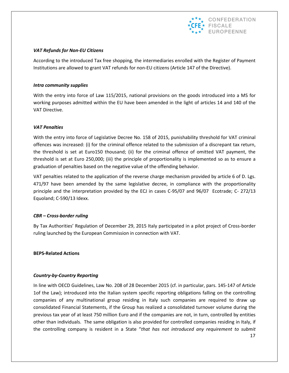

#### *VAT Refunds for Non-EU Citizens*

According to the introduced Tax free shopping, the intermediaries enrolled with the Register of Payment Institutions are allowed to grant VAT refunds for non-EU citizens (Article 147 of the Directive).

#### *Intra community supplies*

With the entry into force of Law 115/2015, national provisions on the goods introduced into a MS for working purposes admitted within the EU have been amended in the light of articles 14 and 140 of the VAT Directive.

#### *VAT Penalties*

With the entry into force of Legislative Decree No. 158 of 2015, punishability threshold for VAT criminal offences was increased: (i) for the criminal offence related to the submission of a discrepant tax return, the threshold is set at Euro150 thousand; (ii) for the criminal offence of omitted VAT payment, the threshold is set at Euro 250,000; (iii) the principle of proportionality is implemented so as to ensure a graduation of penalties based on the negative value of the offending behavior.

VAT penalties related to the application of the reverse charge mechanism provided by article 6 of D. Lgs. 471/97 have been amended by the same legislative decree, in compliance with the proportionality principle and the interpretation provided by the ECJ in cases C-95/07 and 96/07 Ecotrade; C- 272/13 Equoland; C-590/13 Idexx.

#### *CBR – Cross-border ruling*

By Tax Authorities' Regulation of December 29, 2015 Italy participated in a pilot project of Cross-border ruling launched by the European Commission in connection with VAT.

#### **BEPS-Related Actions**

#### *Country-by-Country Reporting*

In line with OECD Guidelines, Law No. 208 of 28 December 2015 (cf. in particular, pars. 145-147 of Article 1of the Law); introduced into the Italian system specific reporting obligations falling on the controlling companies of any multinational group residing in Italy such companies are required to draw up consolidated Financial Statements, if the Group has realized a consolidated turnover volume during the previous tax year of at least 750 million Euro and if the companies are not, in turn, controlled by entities other than individuals. The same obligation is also provided for controlled companies residing in Italy, if the controlling company is resident in a State "*that has not introduced any requirement to submit*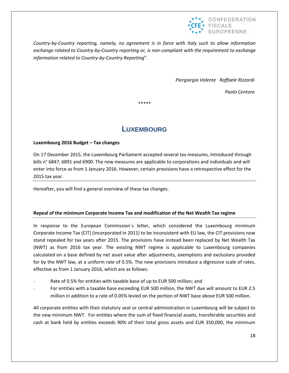

*Country-by-Country reporting, namely, no agreement is in force with Italy such to allow information exchange related to Country-by-Country reporting or, is non-compliant with the requirement to exchange information related to Country-by-Country Reporting*".

*Piergiorgio Valente Raffaele Rizzardi*

*Paolo Centore*

\*\*\*\*\*

## **LUXEMBOURG**

#### **Luxembourg 2016 Budget – Tax changes**

On 17 December 2015, the Luxembourg Parliament accepted several tax measures, introduced through bills n° 6847, 6891 and 6900. The new measures are applicable to corporations and individuals and will enter into force as from 1 January 2016. However, certain provisions have a retrospective effect for the 2015 tax year.

Hereafter, you will find a general overview of these tax changes.

#### **Repeal of the minimum Corporate Income Tax and modification of the Net Wealth Tax regime**

In response to the European Commission´s letter, which considered the Luxembourg minimum Corporate Income Tax (CIT) (incorporated in 2011) to be inconsistent with EU law, the CIT provisions now stand repealed for tax years after 2015. The provisions have instead been replaced by Net Wealth Tax (NWT) as from 2016 tax year. The existing NWT regime is applicable to Luxembourg companies calculated on a base defined by net asset value after adjustments, exemptions and exclusions provided for by the NWT law, at a uniform rate of 0.5%. The new provisions introduce a digressive scale of rates, effective as from 1 January 2016, which are as follows:

- Rate of 0.5% for entities with taxable base of up to EUR 500 million; and
- For entities with a taxable base exceeding EUR 500 million, the NWT due will amount to EUR 2.5 million in addition to a rate of 0.05% levied on the portion of NWT base above EUR 500 million.

All corporate entities with their statutory seat or central administration in Luxembourg will be subject to the new minimum NWT. For entities where the sum of fixed financial assets, transferable securities and cash at bank held by entities exceeds 90% of their total gross assets and EUR 350,000, the minimum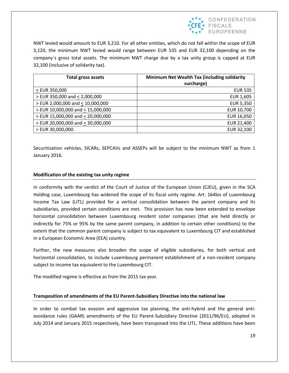

NWT levied would amount to EUR 3,210. For all other entities, which do not fall within the scope of EUR 3,120, the minimum NWT levied would range between EUR 535 and EUR 32,100 depending on the company´s gross total assets. The minimum NWT charge due by a tax unity group is capped at EUR 32,100 (inclusive of solidarity tax).

| <b>Total gross assets</b>         | Minimum Net Wealth Tax (including solidarity |
|-----------------------------------|----------------------------------------------|
|                                   | surcharge)                                   |
| < EUR 350,000                     | <b>EUR 535</b>                               |
| > EUR 350,000 and < 2,000,000     | EUR 1,605                                    |
| > EUR 2,000,000 and < 10,000,000  | <b>EUR 5,350</b>                             |
| > EUR 10,000,000 and < 15,000,000 | EUR 10,700                                   |
| > EUR 15,000,000 and < 20,000,000 | EUR 16,050                                   |
| > EUR 20,000,000 and < 30,000,000 | EUR 21,400                                   |
| > EUR 30,000,000.                 | EUR 32,100                                   |

Securitization vehicles, SICARs, SEPCAVs and ASSEPs will be subject to the minimum NWT as from 1 January 2016.

#### **Modification of the existing tax unity regime**

In conformity with the verdict of the Court of Justice of the European Union (CJEU), given in the SCA Holding case, Luxembourg has widened the scope of its fiscal unity regime. Art. 164bis of Luxembourg Income Tax Law (LITL) provided for a vertical consolidation between the parent company and its subsidiaries, provided certain conditions are met. This provision has now been extended to envelope horizontal consolidation between Luxembourg resident sister companies (that are held directly or indirectly for 75% or 95% by the same parent company, in addition to certain other conditions) to the extent that the common parent company is subject to tax equivalent to Luxembourg CIT and established in a European Economic Area (EEA) country.

Further, the new measures also broaden the scope of eligible subsidiaries, for both vertical and horizontal consolidation, to include Luxembourg permanent establishment of a non-resident company subject to income tax equivalent to the Luxembourg CIT.

The modified regime is effective as from the 2015 tax year.

#### **Transposition of amendments of the EU Parent-Subsidiary Directive into the national law**

In order to combat tax evasion and aggressive tax planning, the anti-hybrid and the general antiavoidance rules (GAAR) amendments of the EU Parent-Subsidiary Directive (2011/96/EU), adopted in July 2014 and January 2015 respectively, have been transposed into the LITL. These additions have been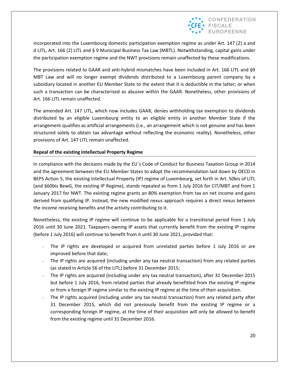

incorporated into the Luxembourg domestic participation exemption regime as under Art. 147 (2) a and d LITL, Art. 166 (2) LITL and § 9 Municipal Business Tax Law (MBTL). Notwithstanding, capital gains under the participation exemption regime and the NWT provisions remain unaffected by these modifications.

The provisions related to GAAR and anti-hybrid mismatches have been included in Art. 166 LITL and §9 MBT Law and will no longer exempt dividends distributed to a Luxembourg parent company by a subsidiary located in another EU Member State to the extent that it is deductible in the latter; or when such a transaction can be characterised as abusive within the GAAR. Nonetheless, other provisions of Art. 166 LITL remain unaffected.

The amended Art. 147 LITL, which now includes GAAR, denies withholding tax exemption to dividends distributed by an eligible Luxembourg entity to an eligible entity in another Member State if the arrangement qualifies as artificial arrangements (i.e., an arrangement which is not genuine and has been structured solely to obtain tax advantage without reflecting the economic reality). Nonetheless, other provisions of Art. 147 LITL remain unaffected.

#### **Repeal of the existing Intellectual Property Regime**

In compliance with the decisions made by the EU´s Code of Conduct for Business Taxation Group in 2014 and the agreement between the EU Member States to adopt the recommendation laid down by OECD in BEPS Action 5, the existing Intellectual Property (IP) regime of Luxembourg, set forth in Art. 50bis of LITL (and §60bis BewG, the existing IP Regime), stands repealed as from 1 July 2016 for CIT/MBT and from 1 January 2017 for NWT. The existing regime grants an 80% exemption from tax on net income and gains derived from qualifying IP. Instead, the new modified nexus approach requires a direct nexus between the income receiving benefits and the activity contributing to it.

Nonetheless, the existing IP regime will continue to be applicable for a transitional period from 1 July 2016 until 30 June 2021. Taxpayers owning IP assets that currently benefit from the existing IP regime (before 1 July 2016) will continue to benefit from it until 30 June 2021, provided that:

- The IP rights are developed or acquired from unrelated parties before 1 July 2016 or are improved before that date;
- The IP rights are acquired (including under any tax neutral transaction) from any related parties (as stated in Article 56 of the LITL) before 31 December 2015;
- The IP rights are acquired (including under any tax neutral transaction), after 31 December 2015 but before 1 July 2016, from related parties that already benefitted from the existing IP regime or from a foreign IP regime similar to the existing IP regime at the time of their acquisition.
- The IP rights acquired (including under any tax neutral transaction) from any related party after 31 December 2015, which did not previously benefit from the existing IP regime or a corresponding foreign IP regime, at the time of their acquisition will only be allowed to benefit from the existing regime until 31 December 2016.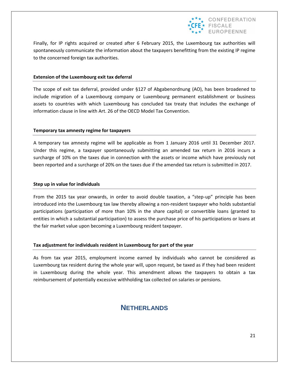

Finally, for IP rights acquired or created after 6 February 2015, the Luxembourg tax authorities will spontaneously communicate the information about the taxpayers benefitting from the existing IP regime to the concerned foreign tax authorities.

#### **Extension of the Luxembourg exit tax deferral**

The scope of exit tax deferral, provided under §127 of Abgabenordnung (AO), has been broadened to include migration of a Luxembourg company or Luxembourg permanent establishment or business assets to countries with which Luxembourg has concluded tax treaty that includes the exchange of information clause in line with Art. 26 of the OECD Model Tax Convention.

#### **Temporary tax amnesty regime for taxpayers**

A temporary tax amnesty regime will be applicable as from 1 January 2016 until 31 December 2017. Under this regime, a taxpayer spontaneously submitting an amended tax return in 2016 incurs a surcharge of 10% on the taxes due in connection with the assets or income which have previously not been reported and a surcharge of 20% on the taxes due if the amended tax return is submitted in 2017.

#### **Step up in value for individuals**

From the 2015 tax year onwards, in order to avoid double taxation, a "step-up" principle has been introduced into the Luxembourg tax law thereby allowing a non-resident taxpayer who holds substantial participations (participation of more than 10% in the share capital) or convertible loans (granted to entities in which a substantial participation) to assess the purchase price of his participations or loans at the fair market value upon becoming a Luxembourg resident taxpayer.

#### **Tax adjustment for individuals resident in Luxembourg for part of the year**

As from tax year 2015, employment income earned by individuals who cannot be considered as Luxembourg tax resident during the whole year will, upon request, be taxed as if they had been resident in Luxembourg during the whole year. This amendment allows the taxpayers to obtain a tax reimbursement of potentially excessive withholding tax collected on salaries or pensions.

## **NETHERLANDS**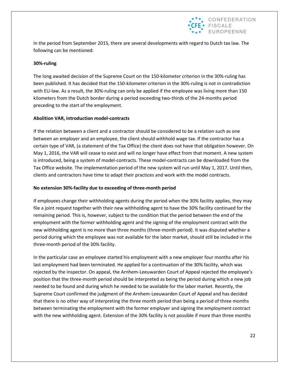

In the period from September 2015, there are several developments with regard to Dutch tax law. The following can be mentioned:

#### **30%-ruling**

The long awaited decision of the Supreme Court on the 150-kilometer criterion in the 30%-ruling has been published. It has decided that the 150-kilometer criterion in the 30%-ruling is not in contradiction with EU-law. As a result, the 30%-ruling can only be applied if the employee was living more than 150 kilometers from the Dutch border during a period exceeding two-thirds of the 24-months period preceding to the start of the employment.

#### **Abolition VAR, introduction model-contracts**

If the relation between a client and a contractor should be considered to be a relation such as one between an employer and an employee, the client should withhold wage tax. If the contractor has a certain type of VAR, (a statement of the Tax Office) the client does not have that obligation however. On May 1, 2016, the VAR will cease to exist and will no longer have effect from that moment. A new system is introduced, being a system of model-contracts. These model-contracts can be downloaded from the Tax Office website. The implementation period of the new system will run until May 1, 2017. Until then, clients and contractors have time to adapt their practices and work with the model contracts.

#### **No extension 30%-facility due to exceeding of three-month period**

If employees change their withholding agents during the period when the 30% facility applies, they may file a joint request together with their new withholding agent to have the 30% facility continued for the remaining period. This is, however, subject to the condition that the period between the end of the employment with the former withholding agent and the signing of the employment contract with the new withholding agent is no more than three months (three-month period). It was disputed whether a period during which the employee was not available for the labor market, should still be included in the three-month period of the 30% facility.

In the particular case an employee started his employment with a new employer four months after his last employment had been terminated. He applied for a continuation of the 30% facility, which was rejected by the inspector. On appeal, the Arnhem-Leeuwarden Court of Appeal rejected the employee's position that the three-month period should be interpreted as being the period during which a new job needed to be found and during which he needed to be available for the labor market. Recently, the Supreme Court confirmed the judgment of the Arnhem-Leeuwarden Court of Appeal and has decided that there is no other way of interpreting the three month period than being a period of three months between terminating the employment with the former employer and signing the employment contract with the new withholding agent. Extension of the 30% facility is not possible if more than three months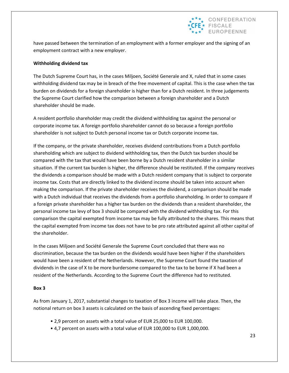

have passed between the termination of an employment with a former employer and the signing of an employment contract with a new employer.

#### **Withholding dividend tax**

The Dutch Supreme Court has, in the cases Miljoen, Société Generale and X, ruled that in some cases withholding dividend tax may be in breach of the free movement of capital. This is the case when the tax burden on dividends for a foreign shareholder is higher than for a Dutch resident. In three judgements the Supreme Court clarified how the comparison between a foreign shareholder and a Dutch shareholder should be made.

A resident portfolio shareholder may credit the dividend withholding tax against the personal or corporate income tax. A foreign portfolio shareholder cannot do so because a foreign portfolio shareholder is not subject to Dutch personal income tax or Dutch corporate income tax.

If the company, or the private shareholder, receives dividend contributions from a Dutch portfolio shareholding which are subject to dividend withholding tax, then the Dutch tax burden should be compared with the tax that would have been borne by a Dutch resident shareholder in a similar situation. If the current tax burden is higher, the difference should be restituted. If the company receives the dividends a comparison should be made with a Dutch resident company that is subject to corporate income tax. Costs that are directly linked to the dividend income should be taken into account when making the comparison. If the private shareholder receives the dividend, a comparison should be made with a Dutch individual that receives the dividends from a portfolio shareholding. In order to compare if a foreign private shareholder has a higher tax burden on the dividends than a resident shareholder, the personal income tax levy of box 3 should be compared with the dividend withholding tax. For this comparison the capital exempted from income tax may be fully attributed to the shares. This means that the capital exempted from income tax does not have to be pro rate attributed against all other capital of the shareholder.

In the cases Miljoen and Société Generale the Supreme Court concluded that there was no discrimination, because the tax burden on the dividends would have been higher if the shareholders would have been a resident of the Netherlands. However, the Supreme Court found the taxation of dividends in the case of X to be more burdersome compared to the tax to be borne if X had been a resident of the Netherlands. According to the Supreme Court the difference had to restituted.

#### **Box 3**

As from January 1, 2017, substantial changes to taxation of Box 3 income will take place. Then, the notional return on box 3 assets is calculated on the basis of ascending fixed percentages:

- 2,9 percent on assets with a total value of EUR 25,000 to EUR 100,000.
- 4,7 percent on assets with a total value of EUR 100,000 to EUR 1,000,000.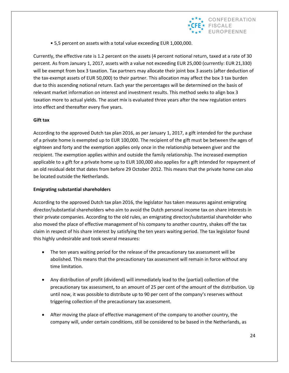

• 5,5 percent on assets with a total value exceeding EUR 1,000,000.

Currently, the effective rate is 1.2 percent on the assets (4 percent notional return, taxed at a rate of 30 percent. As from January 1, 2017, assets with a value not exceeding EUR 25,000 (currently: EUR 21,330) will be exempt from box 3 taxation. Tax partners may allocate their joint box 3 assets (after deduction of the tax-exempt assets of EUR 50,000) to their partner. This allocation may affect the box 3 tax burden due to this ascending notional return. Each year the percentages will be determined on the basis of relevant market information on interest and investment results. This method seeks to align box 3 taxation more to actual yields. The asset mix is evaluated three years after the new regulation enters into effect and thereafter every five years.

#### **Gift tax**

According to the approved Dutch tax plan 2016, as per January 1, 2017, a gift intended for the purchase of a private home is exempted up to EUR 100,000. The recipient of the gift must be between the ages of eighteen and forty and the exemption applies only once in the relationship between giver and the recipient. The exemption applies within and outside the family relationship. The increased exemption applicable to a gift for a private home up to EUR 100,000 also applies for a gift intended for repayment of an old residual debt that dates from before 29 October 2012. This means that the private home can also be located outside the Netherlands.

#### **Emigrating substantial shareholders**

According to the approved Dutch tax plan 2016, the legislator has taken measures against emigrating director/substantial shareholders who aim to avoid the Dutch personal income tax on share interests in their private companies. According to the old rules, an emigrating director/substantial shareholder who also moved the place of effective management of his company to another country, shakes off the tax claim in respect of his share interest by satisfying the ten years waiting period. The tax legislator found this highly undesirable and took several measures:

- The ten years waiting period for the release of the precautionary tax assessment will be abolished. This means that the precautionary tax assessment will remain in force without any time limitation.
- Any distribution of profit (dividend) will immediately lead to the (partial) collection of the precautionary tax assessment, to an amount of 25 per cent of the amount of the distribution. Up until now, it was possible to distribute up to 90 per cent of the company's reserves without triggering collection of the precautionary tax assessment.
- After moving the place of effective management of the company to another country, the company will, under certain conditions, still be considered to be based in the Netherlands, as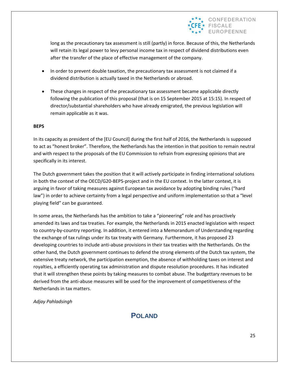

long as the precautionary tax assessment is still (partly) in force. Because of this, the Netherlands will retain its legal power to levy personal income tax in respect of dividend distributions even after the transfer of the place of effective management of the company.

- In order to prevent double taxation, the precautionary tax assessment is not claimed if a dividend distribution is actually taxed in the Netherlands or abroad.
- These changes in respect of the precautionary tax assessment became applicable directly following the publication of this proposal (that is on 15 September 2015 at 15:15). In respect of director/substantial shareholders who have already emigrated, the previous legislation will remain applicable as it was.

#### **BEPS**

In its capacity as president of the [EU Council] during the first half of 2016, the Netherlands is supposed to act as "honest broker". Therefore, the Netherlands has the intention in that position to remain neutral and with respect to the proposals of the EU Commission to refrain from expressing opinions that are specifically in its interest.

The Dutch government takes the position that it will actively participate in finding international solutions in both the context of the OECD/G20-BEPS-project and in the EU context. In the latter context, it is arguing in favor of taking measures against European tax avoidance by adopting binding rules ("hard law") in order to achieve certainty from a legal perspective and uniform implementation so that a "level playing field" can be guaranteed.

In some areas, the Netherlands has the ambition to take a "pioneering" role and has proactively amended its laws and tax treaties. For example, the Netherlands in 2015 enacted legislation with respect to country-by-country reporting. In addition, it entered into a Memorandum of Understanding regarding the exchange of tax rulings under its tax treaty with Germany. Furthermore, it has proposed 23 developing countries to include anti-abuse provisions in their tax treaties with the Netherlands. On the other hand, the Dutch government continues to defend the strong elements of the Dutch tax system, the extensive treaty network, the participation exemption, the absence of withholding taxes on interest and royalties, a efficiently operating tax administration and dispute resolution procedures. It has indicated that it will strengthen these points by taking measures to combat abuse. The budgettary revenues to be derived from the anti-abuse measures will be used for the improvement of competitiveness of the Netherlands in tax matters.

*Adjay Pahladsingh*

**POLAND**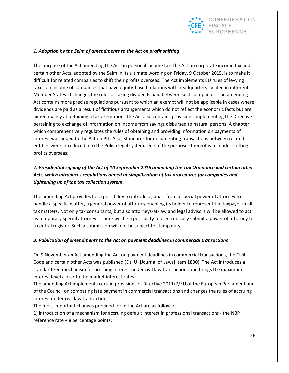

#### *1. Adoption by the Sejm of amendments to the Act on profit shifting*

The purpose of the Act amending the Act on personal income tax, the Act on corporate income tax and certain other Acts, adopted by the Sejm in its ultimate wording on Friday, 9 October 2015, is to make it difficult for related companies to shift their profits overseas. The Act implements EU rules of levying taxes on income of companies that have equity-based relations with headquarters located in different Member States. It changes the rules of taxing dividends paid between such companies. The amending Act contains more precise regulations pursuant to which an exempt will not be applicable in cases where dividends are paid as a result of fictitious arrangements which do not reflect the economic facts but are aimed mainly at obtaining a tax exemption. The Act also contains provisions implementing the Directive pertaining to exchange of information on income from savings disbursed to natural persons. A chapter which comprehensively regulates the rules of obtaining and providing information on payments of interest was added to the Act on PIT. Also, standards for documenting transactions between related entities were introduced into the Polish legal system. One of the purposes thereof is to hinder shifting profits overseas.

## **2.** *Presidential signing of the Act of 10 September 2015 amending the Tax Ordinance and certain other Acts, which introduces regulations aimed at simplification of tax procedures for companies and tightening up of the tax collection system*.

The amending Act provides for a possibility to introduce, apart from a special power of attorney to handle a specific matter, a general power of attorney enabling its holder to represent the taxpayer in all tax matters. Not only tax consultants, but also attorneys-at-law and legal advisors will be allowed to act as temporary special attorneys. There will be a possibility to electronically submit a power of attorney to a central register. Such a submission will not be subject to stamp duty.

#### *3. Publication of amendments to the Act on payment deadlines in commercial transactions*

On 9 November an Act amending the Act on payment deadlines in commercial transactions, the Civil Code and certain other Acts was published (Dz. U. [Journal of Laws] item 1830). The Act introduces a standardized mechanism for accruing interest under civil law transactions and brings the maximum interest level closer to the market interest rates.

The amending Act implements certain provisions of Directive 2011/7/EU of the European Parliament and of the Council on combating late payment in commercial transactions and changes the rules of accruing interest under civil law transactions.

The most important changes provided for in the Act are as follows:

1) introduction of a mechanism for accruing default interest in professional transactions - the NBP reference rate + 8 percentage points;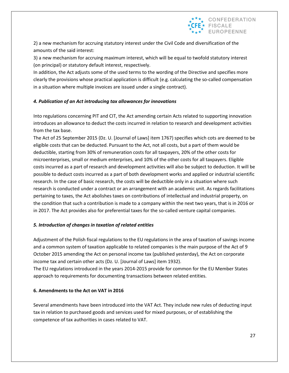

2) a new mechanism for accruing statutory interest under the Civil Code and diversification of the amounts of the said interest:

3) a new mechanism for accruing maximum interest, which will be equal to twofold statutory interest (on principal) or statutory default interest, respectively.

In addition, the Act adjusts some of the used terms to the wording of the Directive and specifies more clearly the provisions whose practical application is difficult (e.g. calculating the so-called compensation in a situation where multiple invoices are issued under a single contract).

#### *4. Publication of an Act introducing tax allowances for innovations*

Into regulations concerning PIT and CIT, the Act amending certain Acts related to supporting innovation introduces an allowance to deduct the costs incurred in relation to research and development activities from the tax base.

The Act of 25 September 2015 (Dz. U. [Journal of Laws] item 1767) specifies which cots are deemed to be eligible costs that can be deducted. Pursuant to the Act, not all costs, but a part of them would be deductible, starting from 30% of remuneration costs for all taxpayers, 20% of the other costs for microenterprises, small or medium enterprises, and 10% of the other costs for all taxpayers. Eligible costs incurred as a part of research and development activities will also be subject to deduction. It will be possible to deduct costs incurred as a part of both development works and applied or industrial scientific research. In the case of basic research, the costs will be deductible only in a situation where such research is conducted under a contract or an arrangement with an academic unit. As regards facilitations pertaining to taxes, the Act abolishes taxes on contributions of intellectual and industrial property, on the condition that such a contribution is made to a company within the next two years, that is in 2016 or in 2017. The Act provides also for preferential taxes for the so-called venture capital companies.

#### *5. Introduction of changes in taxation of related entities*

Adjustment of the Polish fiscal regulations to the EU regulations in the area of taxation of savings income and a common system of taxation applicable to related companies is the main purpose of the Act of 9 October 2015 amending the Act on personal income tax (published yesterday), the Act on corporate income tax and certain other acts (Dz. U. [Journal of Laws] item 1932).

The EU regulations introduced in the years 2014-2015 provide for common for the EU Member States approach to requirements for documenting transactions between related entities.

#### **6. Amendments to the Act on VAT in 2016**

Several amendments have been introduced into the VAT Act. They include new rules of deducting input tax in relation to purchased goods and services used for mixed purposes, or of establishing the competence of tax authorities in cases related to VAT.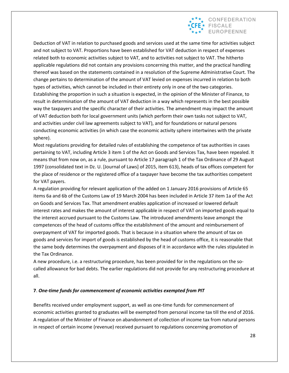

Deduction of VAT in relation to purchased goods and services used at the same time for activities subject and not subject to VAT. Proportions have been established for VAT deduction in respect of expenses related both to economic activities subject to VAT, and to activities not subject to VAT. The hitherto applicable regulations did not contain any provisions concerning this matter, and the practical handling thereof was based on the statements contained in a resolution of the Supreme Administrative Court. The change pertains to determination of the amount of VAT levied on expenses incurred in relation to both types of activities, which cannot be included in their entirety only in one of the two categories. Establishing the proportion in such a situation is expected, in the opinion of the Minister of Finance, to result in determination of the amount of VAT deduction in a way which represents in the best possible way the taxpayers and the specific character of their activities. The amendment may impact the amount of VAT deduction both for local government units (which perform their own tasks not subject to VAT, and activities under civil law agreements subject to VAT), and for foundations or natural persons conducting economic activities (in which case the economic activity sphere intertwines with the private sphere).

Most regulations providing for detailed rules of establishing the competence of tax authorities in cases pertaining to VAT, including Article 3 item 1 of the Act on Goods and Services Tax, have been repealed. It means that from now on, as a rule, pursuant to Article 17 paragraph 1 of the Tax Ordinance of 29 August 1997 (consolidated text in Dz. U. [Journal of Laws] of 2015, item 613), heads of tax offices competent for the place of residence or the registered office of a taxpayer have become the tax authorities competent for VAT payers.

A regulation providing for relevant application of the added on 1 January 2016 provisions of Article 65 items 6a and 6b of the Customs Law of 19 March 2004 has been included in Article 37 item 1a of the Act on Goods and Services Tax. That amendment enables application of increased or lowered default interest rates and makes the amount of interest applicable in respect of VAT on imported goods equal to the interest accrued pursuant to the Customs Law. The introduced amendments leave amongst the competences of the head of customs office the establishment of the amount and reimbursement of overpayment of VAT for imported goods. That is because in a situation where the amount of tax on goods and services for import of goods is established by the head of customs office, it is reasonable that the same body determines the overpayment and disposes of it in accordance with the rules stipulated in the Tax Ordinance.

A new procedure, i.e. a restructuring procedure, has been provided for in the regulations on the socalled allowance for bad debts. The earlier regulations did not provide for any restructuring procedure at all.

#### **7**. *One-time funds for commencement of economic activities exempted from PIT*

Benefits received under employment support, as well as one-time funds for commencement of economic activities granted to graduates will be exempted from personal income tax till the end of 2016. A regulation of the Minister of Finance on abandonment of collection of income tax from natural persons in respect of certain income (revenue) received pursuant to regulations concerning promotion of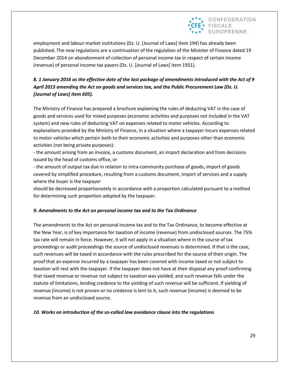

employment and labour market institutions (Dz. U. [Journal of Laws] item 194) has already been published. The new regulations are a continuation of the regulation of the Minister of Finance dated 19 December 2014 on abandonment of collection of personal income tax in respect of certain income (revenue) of personal income tax payers (Dz. U. [Journal of Laws] item 1931).

## *8. 1 January 2016 as the effective date of the last package of amendments introduced with the Act of 9 April 2015 amending the Act on goods and services tax, and the Public Procurement Law (Dz. U. [Journal of Laws] item 605).*

The Ministry of Finance has prepared a brochure explaining the rules of deducting VAT in the case of goods and services used for mixed purposes (economic activities and purposes not included in the VAT system) and new rules of deducting VAT on expenses related to motor vehicles. According to explanations provided by the Ministry of Finance, in a situation where a taxpayer incurs expenses related to motor vehicles which pertain both to their economic activities and purposes other than economic activities (not being private purposes):

- the amount arising from an invoice, a customs document, an import declaration and from decisions issued by the head of customs office, or

- the amount of output tax due in relation to intra-community purchase of goods, import of goods covered by simplified procedure, resulting from a customs document, import of services and a supply where the buyer is the taxpayer

should be decreased proportionately in accordance with a proportion calculated pursuant to a method for determining such proportion adopted by the taxpayer.

#### *9. Amendments to the Act on personal income tax and to the Tax Ordinance*

The amendments to the Act on personal income tax and to the Tax Ordinance, to become effective at the New Year, is of key importance for taxation of income (revenue) from undisclosed sources. The 75% tax rate will remain in force. However, it will not apply in a situation where in the course of tax proceedings or audit proceedings the source of undisclosed revenues is determined. If that is the case, such revenues will be taxed in accordance with the rules prescribed for the source of their origin. The proof that an expense incurred by a taxpayer has been covered with income taxed or not subject to taxation will rest with the taxpayer. If the taxpayer does not have at their disposal any proof confirming that taxed revenue or revenue not subject to taxation was yielded, and such revenue falls under the statute of limitations, lending credence to the yielding of such revenue will be sufficient. If yielding of revenue (income) is not proven or no credence is lent to it, such revenue (income) is deemed to be revenue from an undisclosed source.

#### *10. Works on introduction of the so-called law avoidance clause into the regulations*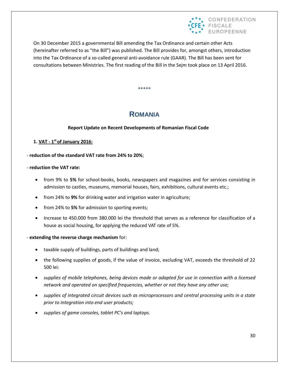

On 30 December 2015 a governmental Bill amending the Tax Ordinance and certain other Acts (hereinafter referred to as "the Bill") was published. The Bill provides for, amongst others, introduction into the Tax Ordinance of a so-called general anti-avoidance rule (GAAR). The Bill has been sent for consultations between Ministries. The first reading of the Bill in the Sejm took place on 13 April 2016.

**\*\*\*\*\***

## **ROMANIA**

#### **Report Update on Recent Developments of Romanian Fiscal Code**

#### **1. VAT - 1 st of January 2016:**

- **reduction of the standard VAT rate from 24% to 20%**;

#### - **reduction the VAT rate:**

- from 9% to **5%** for school-books, books, newspapers and magazines and for services consisting in admission to castles, museums, memorial houses, fairs, exhibitions, cultural events etc.;
- **•** from 24% to 9% for drinking water and irrigation water in agriculture;
- from 24% to **5%** for admission to sporting events;
- Increase to 450.000 from 380.000 lei the threshold that serves as a reference for classification of a house as social housing, for applying the reduced VAT rate of 5%.

#### - **extending the reverse charge mechanism** for:

- taxable supply of buildings, parts of buildings and land;
- the following supplies of goods, if the value of invoice, excluding VAT, exceeds the threshold of 22 500 lei:
- *supplies of mobile telephones, being devices made or adapted for use in connection with a licensed network and operated on specified frequencies, whether or not they have any other use;*
- *supplies of integrated circuit devices such as microprocessors and central processing units in a state prior to integration into end user products;*
- *supplies of game consoles, tablet PC's and laptops.*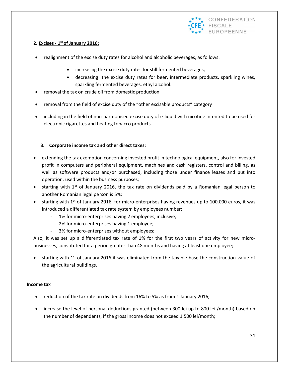

#### **2. Excises - 1 st of January 2016:**

- realignment of the excise duty rates for alcohol and alcoholic beverages, as follows:
	- increasing the excise duty rates for still fermented beverages;
	- decreasing the excise duty rates for beer, intermediate products, sparkling wines, sparkling fermented beverages, ethyl alcohol.
- removal the tax on crude oil from domestic production
- removal from the field of excise duty of the "other excisable products" category
- including in the field of non-harmonised excise duty of e-liquid with nicotine intented to be used for electronic cigarettes and heating tobacco products.

#### **3. Corporate income tax and other direct taxes:**

- extending the tax exemption concerning invested profit in technological equipment, also for invested profit in computers and peripheral equipment, machines and cash registers, control and billing, as well as software products and/or purchased, including those under finance leases and put into operation, used within the business purposes;
- starting with  $1<sup>st</sup>$  of January 2016, the tax rate on dividends paid by a Romanian legal person to another Romanian legal person is 5%;
- starting with 1<sup>st</sup> of January 2016, for micro-enterprises having revenues up to 100.000 euros, it was introduced a differentiated tax rate system by employees number:
	- 1% for micro-enterprises having 2 employees, inclusive;
	- 2% for micro-enterprises having 1 employee;
	- 3% for micro-enterprises without employees;

Also, it was set up a differentiated tax rate of 1% for the first two years of activity for new microbusinesses, constituted for a period greater than 48 months and having at least one employee;

 $\bullet$  starting with 1st of January 2016 it was eliminated from the taxable base the construction value of the agricultural buildings.

#### **Income tax**

- reduction of the tax rate on dividends from 16% to 5% as from 1 January 2016;
- increase the level of personal deductions granted (between 300 lei up to 800 lei /month) based on the number of dependents, if the gross income does not exceed 1.500 lei/month;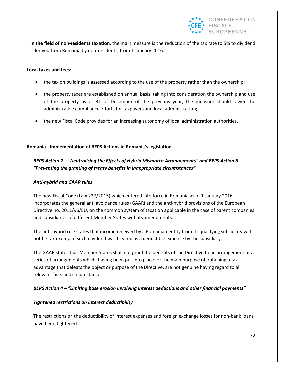

**In the field of non-residents taxation**, the main measure is the reduction of the tax rate to 5% to dividend derived from Romania by non-residents, from 1 January 2016.

#### **Local taxes and fees:**

- the tax on buildings is assessed according to the use of the property rather than the ownership;
- the property taxes are established on annual basis, taking into consideration the ownership and use of the property as of 31 of December of the previous year; the measure should lower the administrative compliance efforts for taxpayers and local administration;
- the new Fiscal Code provides for an increasing autonomy of local administration authorities.

#### **Romania - Implementation of BEPS Actions in Romania's legislation**

## *BEPS Action 2 – "Neutralising the Effects of Hybrid Mismatch Arrangements" and BEPS Action 6 – "Preventing the granting of treaty benefits in inappropriate circumstances"*

#### *Anti-hybrid and GAAR rules*

The new Fiscal Code (Law 227/2015) which entered into force in Romania as of 1 January 2016 incorporates the general anti avoidance rules (GAAR) and the anti-hybrid provisions of the European Directive no. 2011/96/EU, on the common system of taxation applicable in the case of parent companies and subsidiaries of different Member States with its amendments.

The anti-hybrid rule states that income received by a Romanian entity from its qualifying subsidiary will not be tax exempt if such dividend was treated as a deductible expense by the subsidiary.

The GAAR states that Member States shall not grant the benefits of the Directive to an arrangement or a series of arrangements which, having been put into place for the main purpose of obtaining a tax advantage that defeats the object or purpose of the Directive, are not genuine having regard to all relevant facts and circumstances.

#### *BEPS Action 4 – "Limiting base erosion involving interest deductions and other financial payments"*

#### *Tightened restrictions on interest deductibility*

The restrictions on the deductibility of interest expenses and foreign exchange losses for non-bank loans have been tightened: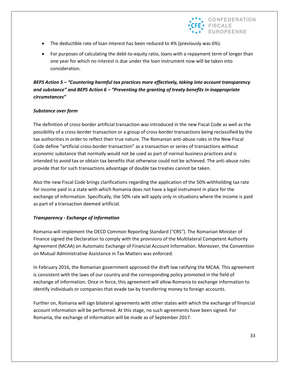

- The deductible rate of loan interest has been reduced to 4% (previously was 6%).
- For purposes of calculating the debt-to-equity ratio, loans with a repayment term of longer than one year for which no interest is due under the loan instrument now will be taken into consideration.

#### *BEPS Action 5 – "Countering harmful tax practices more effectively, taking into account transparency and substance" and BEPS Action 6 – "Preventing the granting of treaty benefits in inappropriate circumstances"*

#### *Substance over form*

The definition of cross-border artificial transaction was introduced in the new Fiscal Code as well as the possibility of a cross-border transaction or a group of cross-border transactions being reclassified by the tax authorities in order to reflect their true nature. The Romanian anti-abuse rules in the New Fiscal Code define "artificial cross-border transaction" as a transaction or series of transactions without economic substance that normally would not be used as part of normal business practices and is intended to avoid tax or obtain tax benefits that otherwise could not be achieved. The anti-abuse rules provide that for such transactions advantage of double tax treaties cannot be taken.

Also the new Fiscal Code brings clarifications regarding the application of the 50% withholding tax rate for income paid in a state with which Romania does not have a legal instrument in place for the exchange of information. Specifically, the 50% rate will apply only in situations where the income is paid as part of a transaction deemed artificial.

#### *Transparency - Exchange of information*

Romania will implement the OECD Common Reporting Standard ("CRS"). The Romanian Minister of Finance signed the Declaration to comply with the provisions of the Multilateral Competent Authority Agreement (MCAA) on Automatic Exchange of Financial Account Information. Moreover, the Convention on Mutual Administrative Assistance in Tax Matters was enforced.

In February 2016, the Romanian government approved the draft law ratifying the MCAA. This agreement is consistent with the laws of our country and the corresponding policy promoted in the field of exchange of information. Once in force, this agreement will allow Romania to exchange information to identify individuals or companies that evade tax by transferring money to foreign accounts.

Further on, Romania will sign bilateral agreements with other states with which the exchange of financial account information will be performed. At this stage, no such agreements have been signed. For Romania, the exchange of information will be made as of September 2017.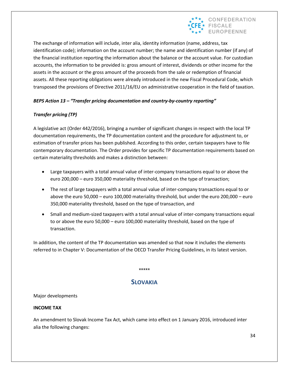

The exchange of information will include, inter alia, identity information (name, address, tax identification code); information on the account number; the name and identification number (if any) of the financial institution reporting the information about the balance or the account value. For custodian accounts, the information to be provided is: gross amount of interest, dividends or other income for the assets in the account or the gross amount of the proceeds from the sale or redemption of financial assets. All these reporting obligations were already introduced in the new Fiscal Procedural Code, which transposed the provisions of Directive 2011/16/EU on administrative cooperation in the field of taxation.

#### *BEPS Action 13 – "Transfer pricing documentation and country-by-country reporting"*

#### *Transfer pricing (TP)*

A legislative act (Order 442/2016), bringing a number of significant changes in respect with the local TP documentation requirements, the TP documentation content and the procedure for adjustment to, or estimation of transfer prices has been published. According to this order, certain taxpayers have to file contemporary documentation. The Order provides for specific TP documentation requirements based on certain materiality thresholds and makes a distinction between:

- Large taxpayers with a total annual value of inter-company transactions equal to or above the euro 200,000 – euro 350,000 materiality threshold, based on the type of transaction;
- The rest of large taxpayers with a total annual value of inter-company transactions equal to or above the euro 50,000 – euro 100,000 materiality threshold, but under the euro 200,000 – euro 350,000 materiality threshold, based on the type of transaction, and
- Small and medium-sized taxpayers with a total annual value of inter-company transactions equal to or above the euro 50,000 – euro 100,000 materiality threshold, based on the type of transaction.

In addition, the content of the TP documentation was amended so that now it includes the elements referred to in Chapter V: Documentation of the OECD Transfer Pricing Guidelines, in its latest version.

\*\*\*\*\*

## **SLOVAKIA**

#### Major developments

#### **INCOME TAX**

An amendment to Slovak Income Tax Act, which came into effect on 1 January 2016, introduced inter alia the following changes: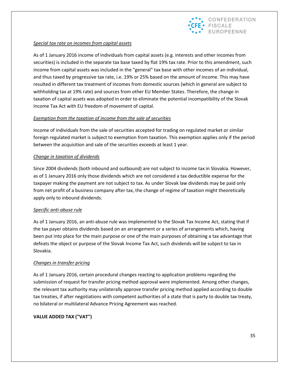

#### *Special tax rate on incomes from capital assets*

As of 1 January 2016 income of individuals from capital assets (e.g. interests and other incomes from securities) is included in the separate tax base taxed by flat 19% tax rate. Prior to this amendment, such income from capital assets was included in the "general" tax base with other incomes of an individual, and thus taxed by progressive tax rate, i.e. 19% or 25% based on the amount of income. This may have resulted in different tax treatment of incomes from domestic sources (which in general are subject to withholding tax at 19% rate) and sources from other EU Member States. Therefore, the change in taxation of capital assets was adopted in order to eliminate the potential incompatibility of the Slovak Income Tax Act with EU freedom of movement of capital.

#### *Exemption from the taxation of income from the sale of securities*

Income of individuals from the sale of securities accepted for trading on regulated market or similar foreign regulated market is subject to exemption from taxation. This exemption applies only if the period between the acquisition and sale of the securities exceeds at least 1 year.

#### *Change in taxation of dividends*

Since 2004 dividends (both inbound and outbound) are not subject to income tax in Slovakia. However, as of 1 January 2016 only those dividends which are not considered a tax deductible expense for the taxpayer making the payment are not subject to tax. As under Slovak law dividends may be paid only from net profit of a business company after tax, the change of regime of taxation might theoretically apply only to inbound dividends.

#### *Specific anti-abuse rule*

As of 1 January 2016, an anti-abuse rule was implemented to the Slovak Tax Income Act, stating that if the tax payer obtains dividends based on an arrangement or a series of arrangements which, having been put into place for the main purpose or one of the main purposes of obtaining a tax advantage that defeats the object or purpose of the Slovak Income Tax Act, such dividends will be subject to tax in Slovakia.

#### *Changes in transfer pricing*

As of 1 January 2016, certain procedural changes reacting to application problems regarding the submission of request for transfer pricing method approval were implemented. Among other changes, the relevant tax authority may unilaterally approve transfer pricing method applied according to double tax treaties, if after negotiations with competent authorities of a state that is party to double tax treaty, no bilateral or multilateral Advance Pricing Agreement was reached.

#### **VALUE ADDED TAX ("VAT")**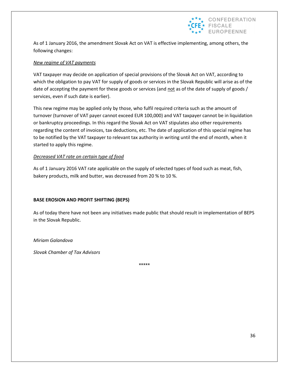

As of 1 January 2016, the amendment Slovak Act on VAT is effective implementing, among others, the following changes:

#### *New regime of VAT payments*

VAT taxpayer may decide on application of special provisions of the Slovak Act on VAT, according to which the obligation to pay VAT for supply of goods or services in the Slovak Republic will arise as of the date of accepting the payment for these goods or services (and not as of the date of supply of goods / services, even if such date is earlier).

This new regime may be applied only by those, who fulfil required criteria such as the amount of turnover (turnover of VAT payer cannot exceed EUR 100,000) and VAT taxpayer cannot be in liquidation or bankruptcy proceedings. In this regard the Slovak Act on VAT stipulates also other requirements regarding the content of invoices, tax deductions, etc. The date of application of this special regime has to be notified by the VAT taxpayer to relevant tax authority in writing until the end of month, when it started to apply this regime.

#### *Decreased VAT rate on certain type of food*

As of 1 January 2016 VAT rate applicable on the supply of selected types of food such as meat, fish, bakery products, milk and butter, was decreased from 20 % to 10 %.

#### **BASE EROSION AND PROFIT SHIFTING (BEPS)**

As of today there have not been any initiatives made public that should result in implementation of BEPS in the Slovak Republic.

*Miriam Galandova*

*Slovak Chamber of Tax Advisors*

\*\*\*\*\*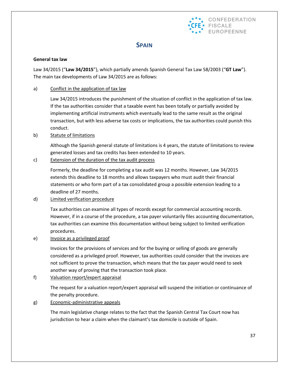

## **SPAIN**

#### **General tax law**

Law 34/2015 ("**Law 34/2015**"), which partially amends Spanish General Tax Law 58/2003 ("**GT Law**"). The main tax developments of Law 34/2015 are as follows:

#### a) Conflict in the application of tax law

Law 34/2015 introduces the punishment of the situation of conflict in the application of tax law. If the tax authorities consider that a taxable event has been totally or partially avoided by implementing artificial instruments which eventually lead to the same result as the original transaction, but with less adverse tax costs or implications, the tax authorities could punish this conduct.

#### b) Statute of limitations

Although the Spanish general statute of limitations is 4 years, the statute of limitations to review generated losses and tax credits has been extended to 10 years.

#### c) Extension of the duration of the tax audit process

Formerly, the deadline for completing a tax audit was 12 months. However, Law 34/2015 extends this deadline to 18 months and allows taxpayers who must audit their financial statements or who form part of a tax consolidated group a possible extension leading to a deadline of 27 months.

#### d) Limited verification procedure

Tax authorities can examine all types of records except for commercial accounting records. However, if in a course of the procedure, a tax payer voluntarily files accounting documentation, tax authorities can examine this documentation without being subject to limited verification procedures.

e) Invoice as a privileged proof

Invoices for the provisions of services and for the buying or selling of goods are generally considered as a privileged proof. However, tax authorities could consider that the invoices are not sufficient to prove the transaction, which means that the tax payer would need to seek another way of proving that the transaction took place.

f) Valuation report/expert appraisal

The request for a valuation report/expert appraisal will suspend the initiation or continuance of the penalty procedure.

#### g) Economic-administrative appeals

The main legislative change relates to the fact that the Spanish Central Tax Court now has jurisdiction to hear a claim when the claimant's tax domicile is outside of Spain.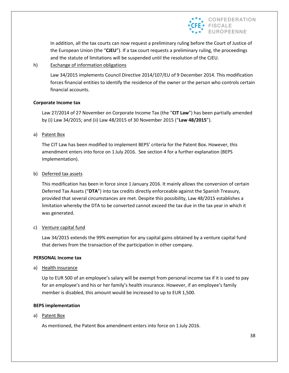

In addition, all the tax courts can now request a preliminary ruling before the Court of Justice of the European Union (the "**CJEU**"). If a tax court requests a preliminary ruling, the proceedings and the statute of limitations will be suspended until the resolution of the CJEU.

#### h) Exchange of information obligations

Law 34/2015 implements Council Directive 2014/107/EU of 9 December 2014. This modification forces financial entities to identify the residence of the owner or the person who controls certain financial accounts.

#### **Corporate Income tax**

Law 27/2014 of 27 November on Corporate Income Tax (the "**CIT Law**") has been partially amended by (i) Law 34/2015; and (ii) Law 48/2015 of 30 November 2015 ("**Law 48/2015**").

#### a) Patent Box

The CIT Law has been modified to implement BEPS' criteria for the Patent Box. However, this amendment enters into force on 1 July 2016. See section 4 for a further explanation (BEPS Implementation).

#### b) Deferred tax assets

This modification has been in force since 1 January 2016. It mainly allows the conversion of certain Deferred Tax Assets ("**DTA**") into tax credits directly enforceable against the Spanish Treasury, provided that several circumstances are met. Despite this possibility, Law 48/2015 establishes a limitation whereby the DTA to be converted cannot exceed the tax due in the tax year in which it was generated.

#### c) Venture capital fund

Law 34/2015 extends the 99% exemption for any capital gains obtained by a venture capital fund that derives from the transaction of the participation in other company.

#### **PERSONAL Income tax**

a) Health insurance

Up to EUR 500 of an employee's salary will be exempt from personal income tax if it is used to pay for an employee's and his or her family's health insurance. However, if an employee's family member is disabled, this amount would be increased to up to EUR 1,500.

#### **BEPS implementation**

a) Patent Box

As mentioned, the Patent Box amendment enters into force on 1 July 2016.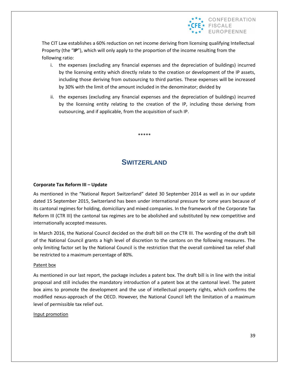

The CIT Law establishes a 60% reduction on net income deriving from licensing qualifying Intellectual Property (the "**IP**"), which will only apply to the proportion of the income resulting from the following ratio:

- i. the expenses (excluding any financial expenses and the depreciation of buildings) incurred by the licensing entity which directly relate to the creation or development of the IP assets, including those deriving from outsourcing to third parties. These expenses will be increased by 30% with the limit of the amount included in the denominator; divided by
- ii. the expenses (excluding any financial expenses and the depreciation of buildings) incurred by the licensing entity relating to the creation of the IP, including those deriving from outsourcing, and if applicable, from the acquisition of such IP.

\*\*\*\*\*

## **SWITZERLAND**

#### **Corporate Tax Reform III – Update**

As mentioned in the "National Report Switzerland" dated 30 September 2014 as well as in our update dated 15 September 2015, Switzerland has been under international pressure for some years because of its cantonal regimes for holding, domiciliary and mixed companies. In the framework of the Corporate Tax Reform III (CTR III) the cantonal tax regimes are to be abolished and substituted by new competitive and internationally accepted measures.

In March 2016, the National Council decided on the draft bill on the CTR III. The wording of the draft bill of the National Council grants a high level of discretion to the cantons on the following measures. The only limiting factor set by the National Council is the restriction that the overall combined tax relief shall be restricted to a maximum percentage of 80%.

#### Patent box

As mentioned in our last report, the package includes a patent box. The draft bill is in line with the initial proposal and still includes the mandatory introduction of a patent box at the cantonal level. The patent box aims to promote the development and the use of intellectual property rights, which confirms the modified nexus-approach of the OECD. However, the National Council left the limitation of a maximum level of permissible tax relief out.

#### Input promotion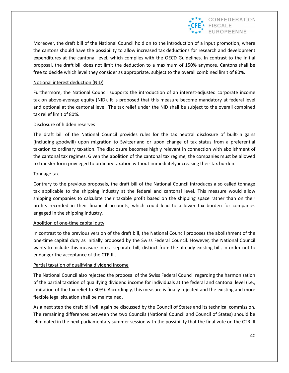

Moreover, the draft bill of the National Council hold on to the introduction of a input promotion, where the cantons should have the possibility to allow increased tax deductions for research and development expenditures at the cantonal level, which complies with the OECD Guidelines. In contrast to the initial proposal, the draft bill does not limit the deduction to a maximum of 150% anymore. Cantons shall be free to decide which level they consider as appropriate, subject to the overall combined limit of 80%.

#### Notional interest deduction (NID)

Furthermore, the National Council supports the introduction of an interest-adjusted corporate income tax on above-average equity (NID). It is proposed that this measure become mandatory at federal level and optional at the cantonal level. The tax relief under the NID shall be subject to the overall combined tax relief limit of 80%.

#### Disclosure of hidden reserves

The draft bill of the National Council provides rules for the tax neutral disclosure of built-in gains (including goodwill) upon migration to Switzerland or upon change of tax status from a preferential taxation to ordinary taxation. The disclosure becomes highly relevant in connection with abolishment of the cantonal tax regimes. Given the abolition of the cantonal tax regime, the companies must be allowed to transfer form privileged to ordinary taxation without immediately increasing their tax burden.

#### Tonnage tax

Contrary to the previous proposals, the draft bill of the National Council introduces a so called tonnage tax applicable to the shipping industry at the federal and cantonal level. This measure would allow shipping companies to calculate their taxable profit based on the shipping space rather than on their profits recorded in their financial accounts, which could lead to a lower tax burden for companies engaged in the shipping industry.

#### Abolition of one-time capital duty

In contrast to the previous version of the draft bill, the National Council proposes the abolishment of the one-time capital duty as initially proposed by the Swiss Federal Council. However, the National Council wants to include this measure into a separate bill, distinct from the already existing bill, in order not to endanger the acceptance of the CTR III.

#### Partial taxation of qualifying dividend income

The National Council also rejected the proposal of the Swiss Federal Council regarding the harmonization of the partial taxation of qualifying dividend income for individuals at the federal and cantonal level (i.e., limitation of the tax relief to 30%). Accordingly, this measure is finally rejected and the existing and more flexible legal situation shall be maintained.

As a next step the draft bill will again be discussed by the Council of States and its technical commission. The remaining differences between the two Councils (National Council and Council of States) should be eliminated in the next parliamentary summer session with the possibility that the final vote on the CTR III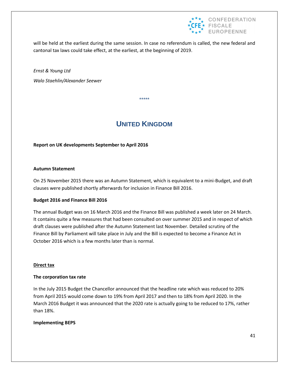

will be held at the earliest during the same session. In case no referendum is called, the new federal and cantonal tax laws could take effect, at the earliest, at the beginning of 2019.

*Ernst & Young Ltd Walo Staehlin/Alexander Seewer*

# **UNITED KINGDOM**

\*\*\*\*\*

#### **Report on UK developments September to April 2016**

#### **Autumn Statement**

On 25 November 2015 there was an Autumn Statement, which is equivalent to a mini-Budget, and draft clauses were published shortly afterwards for inclusion in Finance Bill 2016.

#### **Budget 2016 and Finance Bill 2016**

The annual Budget was on 16 March 2016 and the Finance Bill was published a week later on 24 March. It contains quite a few measures that had been consulted on over summer 2015 and in respect of which draft clauses were published after the Autumn Statement last November. Detailed scrutiny of the Finance Bill by Parliament will take place in July and the Bill is expected to become a Finance Act in October 2016 which is a few months later than is normal.

#### **Direct tax**

#### **The corporation tax rate**

In the July 2015 Budget the Chancellor announced that the headline rate which was reduced to 20% from April 2015 would come down to 19% from April 2017 and then to 18% from April 2020. In the March 2016 Budget it was announced that the 2020 rate is actually going to be reduced to 17%, rather than 18%.

#### **Implementing BEPS**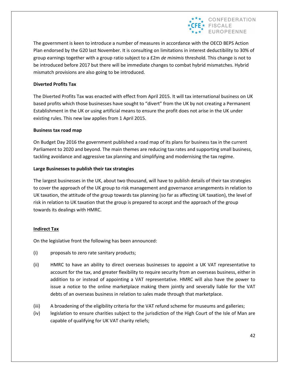

The government is keen to introduce a number of measures in accordance with the OECD BEPS Action Plan endorsed by the G20 last November. It is consulting on limitations in interest deductibility to 30% of group earnings together with a group ratio subject to a £2m *de minimis* threshold. This change is not to be introduced before 2017 but there will be immediate changes to combat hybrid mismatches. Hybrid mismatch provisions are also going to be introduced.

#### **Diverted Profits Tax**

The Diverted Profits Tax was enacted with effect from April 2015. It will tax international business on UK based profits which those businesses have sought to "divert" from the UK by not creating a Permanent Establishment in the UK or using artificial means to ensure the profit does not arise in the UK under existing rules. This new law applies from 1 April 2015.

#### **Business tax road map**

On Budget Day 2016 the government published a road map of its plans for business tax in the current Parliament to 2020 and beyond. The main themes are reducing tax rates and supporting small business, tackling avoidance and aggressive tax planning and simplifying and modernising the tax regime.

#### **Large Businesses to publish their tax strategies**

The largest businesses in the UK, about two thousand, will have to publish details of their tax strategies to cover the approach of the UK group to risk management and governance arrangements in relation to UK taxation, the attitude of the group towards tax planning (so far as affecting UK taxation), the level of risk in relation to UK taxation that the group is prepared to accept and the approach of the group towards its dealings with HMRC.

#### **Indirect Tax**

On the legislative front the following has been announced:

- (i) proposals to zero rate sanitary products;
- (ii) HMRC to have an ability to direct overseas businesses to appoint a UK VAT representative to account for the tax, and greater flexibility to require security from an overseas business, either in addition to or instead of appointing a VAT representative. HMRC will also have the power to issue a notice to the online marketplace making them jointly and severally liable for the VAT debts of an overseas business in relation to sales made through that marketplace.
- (iii) A broadening of the eligibility criteria for the VAT refund scheme for museums and galleries;
- (iv) legislation to ensure charities subject to the jurisdiction of the High Court of the Isle of Man are capable of qualifying for UK VAT charity reliefs;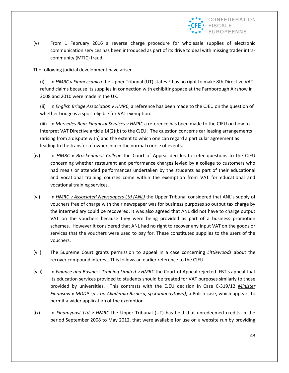

(v) From 1 February 2016 a reverse charge procedure for wholesale supplies of electronic communication services has been introduced as part of its drive to deal with missing trader intracommunity (MTIC) fraud.

The following judicial development have arisen

(i) In *HMRC v Finmeccanica* the Upper Tribunal (UT) states F has no right to make 8th Directive VAT refund claims because its supplies in connection with exhibiting space at the Farnborough Airshow in 2008 and 2010 were made in the UK.

(ii) In *English Bridge Association v HMRC*, a reference has been made to the CJEU on the question of whether bridge is a sport eligible for VAT exemption.

(iii) In *Mercedes Benz Financial Services v HMRC* a reference has been made to the CJEU on how to interpret VAT Directive article 14(2)(b) to the CJEU. The question concerns car leasing arrangements (arising from a dispute with) and the extent to which one can regard a particular agreement as leading to the transfer of ownership in the normal course of events.

- (iv) In *HMRC v Brockenhurst College* the Court of Appeal decides to refer questions to the CJEU concerning whether restaurant and performance charges levied by a college to customers who had meals or attended performances undertaken by the students as part of their educational and vocational training courses come within the exemption from VAT for educational and vocational training services.
- (vi) In *HMRC v Associated Newspapers Ltd (ANL)* the Upper Tribunal considered that ANL's supply of vouchers free of charge with their newspaper was for business purposes so output tax charge by the intermediary could be recovered. It was also agreed that ANL did not have to charge output VAT on the vouchers because they were being provided as part of a business promotion schemes. However it considered that ANL had no right to recover any input VAT on the goods or services that the vouchers were used to pay for. These constituted supplies to the users of the vouchers.
- (vii) The Supreme Court grants permission to appeal in a case concerning *Littlewoods* about the recover compound interest. This follows an earlier reference to the CJEU.
- (viii) In *Finance and Business Training Limited v HMRC* the Court of Appeal rejected FBT's appeal that its education services provided to students should be treated for VAT purposes similarly to those provided by universities. This contrasts with the EJEU decision in Case C-319/12 *Minister Finansow v MDDP sp z oo Akademia Biznesu, sp komandytowa)*, a Polish case, which appears to permit a wider application of the exemption.
- (ix) In *Findmypast Ltd v HMRC* the Upper Tribunal (UT) has held that unredeemed credits in the period September 2008 to May 2012, that were available for use on a website run by providing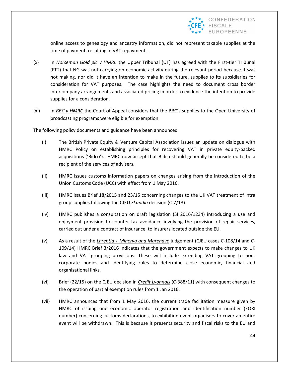

online access to genealogy and ancestry information, did not represent taxable supplies at the time of payment, resulting in VAT repayments.

- (x) In *Norseman Gold plc v HMRC* the Upper Tribunal (UT) has agreed with the First-tier Tribunal (FTT) that NG was not carrying on economic activity during the relevant period because it was not making, nor did it have an intention to make in the future, supplies to its subsidiaries for consideration for VAT purposes. The case highlights the need to document cross border intercompany arrangements and associated pricing in order to evidence the intention to provide supplies for a consideration.
- (xi) In *BBC v HMRC* the Court of Appeal considers that the BBC's supplies to the Open University of broadcasting programs were eligible for exemption.

The following policy documents and guidance have been announced

- (i) The British Private Equity & Venture Capital Association issues an update on dialogue with HMRC Policy on establishing principles for recovering VAT in private equity-backed acquisitions ('Bidco'). HMRC now accept that Bidco should generally be considered to be a recipient of the services of advisers.
- (ii) HMRC issues customs information papers on changes arising from the introduction of the Union Customs Code (UCC) with effect from 1 May 2016.
- (iii) HMRC issues Brief 18/2015 and 23/15 concerning changes to the UK VAT treatment of intra group supplies following the CJEU *Skandia* decision (C-7/13).
- (iv) HMRC publishes a consultation on draft legislation (SI 2016/1234) introducing a use and enjoyment provision to counter tax avoidance involving the provision of repair services, carried out under a contract of insurance, to insurers located outside the EU.
- (v) As a result of the *Larentia + Minerva and Marenave* judgement (CJEU cases C-108/14 and C-109/14) HMRC Brief 3/2016 indicates that the government expects to make changes to UK law and VAT grouping provisions. These will include extending VAT grouping to noncorporate bodies and identifying rules to determine close economic, financial and organisational links.
- (vi) Brief (22/15) on the CJEU decision in *Credit Lyonnais* (C-388/11) with consequent changes to the operation of partial exemption rules from 1 Jan 2016.
- (vii) HMRC announces that from 1 May 2016, the current trade facilitation measure given by HMRC of issuing one economic operator registration and identification number (EORI number) concerning customs declarations, to exhibition event organisers to cover an entire event will be withdrawn. This is because it presents security and fiscal risks to the EU and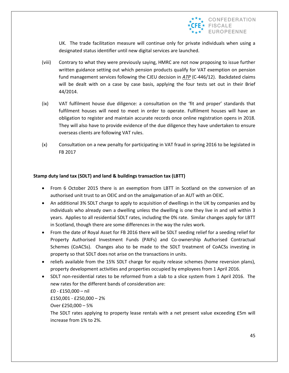

UK. The trade facilitation measure will continue only for private individuals when using a designated status identifier until new digital services are launched.

- (viii) Contrary to what they were previously saying, HMRC are not now proposing to issue further written guidance setting out which pension products qualify for VAT exemption on pension fund management services following the CJEU decision in *ATP* (C-446/12). Backdated claims will be dealt with on a case by case basis, applying the four tests set out in their Brief 44/2014.
- (ix) VAT fulfilment house due diligence: a consultation on the 'fit and proper' standards that fulfilment houses will need to meet in order to operate. Fulfilment houses will have an obligation to register and maintain accurate records once online registration opens in 2018. They will also have to provide evidence of the due diligence they have undertaken to ensure overseas clients are following VAT rules.
- (x) Consultation on a new penalty for participating in VAT fraud in spring 2016 to be legislated in FB 2017

#### **Stamp duty land tax (SDLT) and land & buildings transaction tax (LBTT)**

- From 6 October 2015 there is an exemption from LBTT in Scotland on the conversion of an authorised unit trust to an OEIC and on the amalgamation of an AUT with an OEIC.
- An additional 3% SDLT charge to apply to acquisition of dwellings in the UK by companies and by individuals who already own a dwelling unless the dwelling is one they live in and sell within 3 years. Applies to all residential SDLT rates, including the 0% rate. Similar changes apply for LBTT in Scotland, though there are some differences in the way the rules work.
- From the date of Royal Asset for FB 2016 there will be SDLT seeding relief for a seeding relief for Property Authorised Investment Funds (PAIFs) and Co-ownership Authorised Contractual Schemes (CoACSs). Changes also to be made to the SDLT treatment of CoACSs investing in property so that SDLT does not arise on the transactions in units.
- reliefs available from the 15% SDLT charge for equity release schemes (home reversion plans), property development activities and properties occupied by employees from 1 April 2016.
- SDLT non-residential rates to be reformed from a slab to a slice system from 1 April 2016. The new rates for the different bands of consideration are:

£0 - £150,000 – nil

£150,001 - £250,000 – 2%

Over £250,000 – 5%

The SDLT rates applying to property lease rentals with a net present value exceeding £5m will increase from 1% to 2%.